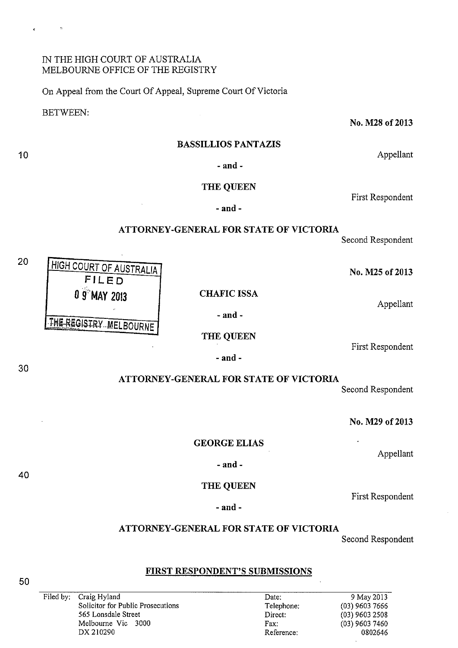## IN THE HIGH COURT OF AUSTRALIA MELBOURNE OFFICE OF THE REGISTRY

HIGH COURT OF AUSTRALIA **FILED** 

THE REGISTRY MELBOURNE

>

 $\frac{1}{2}$ 

On Appeal from the Court Of Appeal, Supreme Court Of Victoria

**0 9 MAY 2013 CHAFIC ISSA** 

BETWEEN:

 $\mathbb{R}^2$ 

10

20

No. M28 of 2013

Appellant

#### **BASSILLIOS PANTAZIS**

**-and-**

## **THE QUEEN**

**-and-**

## **ATTORNEY-GENERAL FOR STATE OF VICTORIA**

Second Respondent

First Respondent

**No. M25 of2013** 

Appellant

**-and-**

**THE QUEEN** 

**-and-**

First Respondent

**ATTORNEY -GENERAL FOR STATE OF VICTORIA** 

Second Respondent

**No. M29 of2013** 

Appellant

**GEORGE ELIAS** 

**-and-**

**THE QUEEN** 

Date: Telephone: Direct: Fax: Reference:

# **ATTORNEY-GENERAL FOR STATE OF VICTORIA**

Second Respondent

9 May20l3 (03) 9603 7666 (03) 9603 2508 (03) 9603 7460 0802646

First Respondent

## **FIRST RESPONDENT'S SUBMISSIONS**

Filed by: Craig Hyland Solicitor for Public Prosecutions 565 Lonsdale Street Melbourne Vic 3000 DX 210290

**-and-**

30

40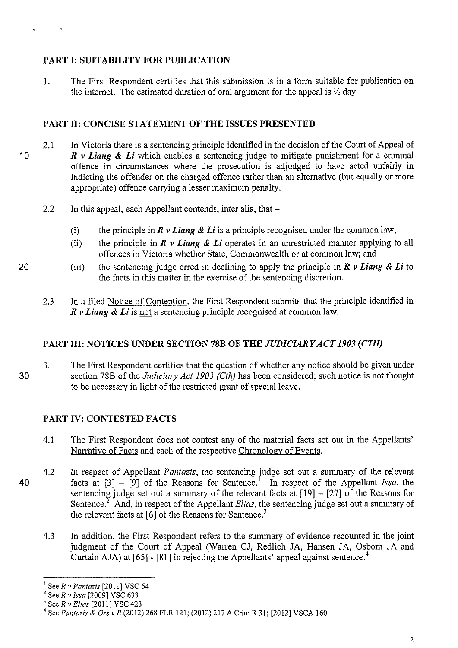# **PART I: SUITABILITY FOR PUBLICATION**

I. The First Respondent certifies that this submission is in a form suitable for publication on the internet. The estimated duration of oral argument for the appeal is  $\frac{1}{2}$  day.

# **PART II: CONCISE STATEMENT OF THE ISSUES PRESENTED**

- 10 2.1 In Victoria there is a sentencing principle identified in the decision of the Court of Appeal of *R v Liang* **&** *Li* which enables a sentencing judge to mitigate punishment for a criminal offence in circumstances where the prosecution is adjudged to have acted unfairly in indicting the offender on the charged offence rather than an alternative (but equally or more appropriate) offence carrying a lesser maximum penalty.
	- 2.2 In this appeal, each Appellant contends, inter alia, that  $-$ 
		- (i) the principle in  $\vec{R}$  v *Liang & Li* is a principle recognised under the common law;
		- (ii) the principle in *R v Liang* **&** *Li* operates in an umestricted manner applying to all offences in Victoria whether State, Commonwealth or at common law; and
		- (iii) the sentencing judge erred in declining to apply the principle in  $\vec{R}$  v *Liang & Li* to the facts in this matter in the exercise of the sentencing discretion.
	- 2.3 In a filed Notice of Contention, the First Respondent submits that the principle identified in *R v Liang* **&** *Li* is not a sentencing principle recognised at common law.

# **PART III: NOTICES UNDER SECTION 78B OF THE** *JUDICIARY ACT 1903 (CTH)*

30 3. The First Respondent certifies that the question of whether any notice should be given under section 78B of the *Judiciary Act 1903 (Cth)* has been considered; such notice is not thought to be necessary in light of the restricted grant of special leave.

# **PART IV: CONTESTED FACTS**

- 4.1 The First Respondent does not contest any of the material facts set out in the Appellants' Narrative of Facts and each of the respective Chronology of Events.
- 40 4.2 In respect of Appellant *Pantazis*, the sentencing judge set out a summary of the relevant facts at  $[3]$  –  $[9]$  of the Reasons for Sentence.<sup>I</sup> In respect of the Appellant *Issa*, the sentencing judge set out a summary of the relevant facts at  $[19] - [27]$  of the Reasons for Sentence.<sup>2</sup> And, in respect of the Appellant *Elias*, the sentencing judge set out a summary of the relevant facts at  $[6]$  of the Reasons for Sentence.<sup>3</sup>
	- 4.3 In addition, the First Respondent refers to the summary of evidence recounted in the joint judgment of the Court of Appeal (Warren CJ, Redlich JA, Hansen JA, Osborn JA and Curtain AJA) at  $[65]$  -  $[81]$  in rejecting the Appellants' appeal against sentence.<sup>4</sup>

 $\begin{array}{ccc}\n\bullet & & & \rightarrow & \bullet \\
\bullet & & & & \end{array}$ 

<sup>&</sup>lt;sup>1</sup> See *R v Pantazis* [2011] VSC 54<br>
<sup>2</sup> See *R v Issa* [2009] VSC 633<br>
<sup>3</sup> See *R v Elias* [2011] VSC 423<br>
<sup>4</sup> See *Pantazis & Ors v R* (2012) 268 FLR 121; (2012) 217 A Crim R 31; [2012] VSCA 160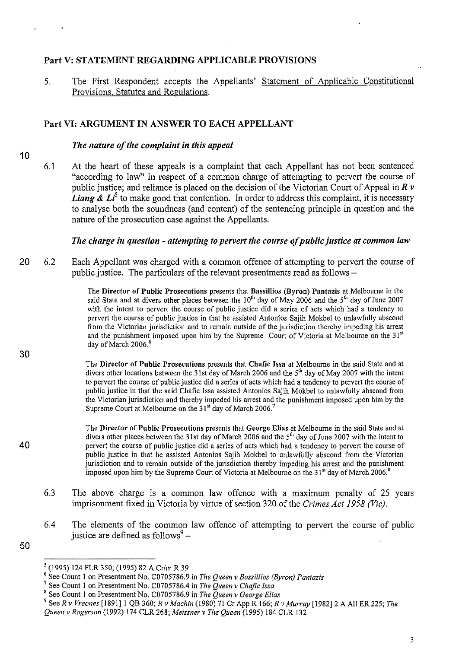## Part V: STATEMENT REGARDING APPLICABLE PROVISIONS

5. The First Respondent accepts the Appellants' Statement of Applicable Constitutional Provisions, Statutes and Regulations.

## Part VI: ARGUMENT IN ANSWER TO EACH APPELLANT

#### *The nature of the complaint in this appeal*

- 10
- 6.1 At the heart of these appeals is a complaint that each Appellant has not been sentenced "according to law" in respect of a common charge of attempting to pervert the course of public justice; and reliance is placed on the decision of the Victorian Court of Appeal in *R v Liang &*  $Li^5$  to make good that contention. In order to address this complaint, it is necessary to analyse both the soundness (and content) of the sentencing principle in question and the nature of the prosecution case against the Appellants.

*The charge in question- attempting to pervert the course of public justice at common law* 

20 6.2 Each Appellant was charged with a common offence of attempting to pervert the course of public justice. The particulars of the relevant presentments read as follows –

> The Director of Public Prosecutions presents that Bassillios (Byron) Pantazis at Melbourne in the said State and at divers other places between the  $10^{th}$  day of May 2006 and the  $5^{th}$  day of June 2007 with the intent to pervert the course of public justice did a series of acts which had a tendency to pervert the course of public justice in that he assisted Antonios Sajih Mokbel to unlawfully abscond from the Victorian jurisdiction and to remain outside of the jurisdiction thereby impeding his arrest and the punishment imposed upon him by the Supreme Court of Victoria at Melbourne on the  $31<sup>st</sup>$ day of March 2006.<sup>6</sup>

The Director of Public Prosecutions presents that Chafic Issa at Melbourne in the said State and at divers other locations between the 31st day of March 2006 and the 5<sup>th</sup> day of May 2007 with the intent to pervert the course of public justice did a series of acts which had a tendency to pervert the course of public justice in that the said Chafic lssa assisted Antonios Sajih Mokbel to unlawfully abscond from the Victorian jurisdiction and thereby impeded his arrest and the punishment imposed upon him by the Supreme Court at Melbourne on the 31<sup>st</sup> day of March 2006.<sup>7</sup>

The Director of Public Prosecutions presents that George Elias at Melbourne in the said State and at divers other places between the 31st day of March 2006 and the 5<sup>th</sup> day of June 2007 with the intent to pervert the course of public justice did a series of acts which had a tendency to pervert the course of public justice in that he assisted Antonios Sajih Mokbel to unlawfully abscond from the Victorian jurisdiction and to remain outside of the jurisdiction thereby impeding his arrest and the punishment imposed upon him by the Supreme Court of Victoria at Melbourne on the  $31<sup>st</sup>$  day of March 2006.<sup>8</sup>

- 6.3 The above charge is a common law offence with a maximum penalty of 25 years imprisonment fixed in Victoria by virtue of section 320 of the *Crimes Act 1958 (Vic)*.
- 6.4 The elements of the common law offence of attempting to pervert the course of public justice are defined as follows $9 -$
- 50

30

<sup>&</sup>lt;sup>5</sup> (1995) 124 FLR 350; (1995) 82 A Crim R 39<br><sup>6</sup> See Count 1 on Presentment No. C0705786.9 in *The Queen v Bassillios (Byron) Pantazis* <sup>7</sup> See Count 1 on Presentment No. C0705786.9 in *The Queen v George Elias* <sup>8</sup> See C

<sup>&</sup>lt;sup>9</sup> See R v Vreones [1891] 1 QB 360; *R v Machin* (1980) 71 Cr App R 166; *R v Murray* [1982] 2 A All ER 225; *The Queen v Rogerson* (1992) 174 CLR 268; *Meissner v The Queen* (1995) 184 CLR 132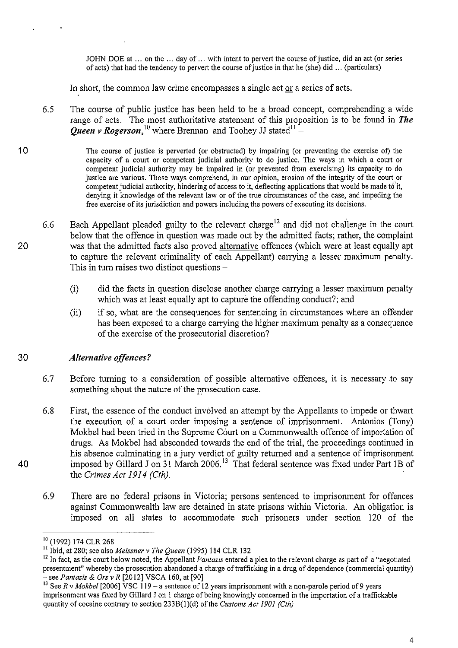JOHN DOE at ... on the ... day of ... with intent to pervert the course of justice, did an act (or series of acts) that had the tendency to pervert the course of justice in that he (she) did ... (particulars)

In short, the common law crime encompasses a single act or a series of acts.

- 6.5 The course of public justice has been held to be a broad concept, comprehending a wide range of acts. The most authoritative statement of this proposition is to be found in *The Queen v Rogerson*,<sup>10</sup> where Brennan and Toohey JJ stated<sup>11</sup> –
- 10 The course of justice is perverted (or obstructed) by impairing (or preventing the exercise of) the capacity of a court or competent judicial authority to do justice. The ways in which a court or competent judicial authority may be impaired in (or prevented from exercising) its capacity to do justice are various. Those ways comprehend, in our opinion, erosion of the integrity of the court or competent judicial authority, hindering of access to it, deflecting applications that would be made to' it, denying it knowledge of the relevant law or of the true circumstances of the case, and impeding the free exercise of its jurisdiction and powers including the powers of executing its decisions.
- 20 6.6 Each Appellant pleaded guilty to the relevant charge<sup>12</sup> and did not challenge in the court below that the offence in question was made out by the admitted facts; rather, the complaint was that the admitted facts also proved alternative offences (which were at least equally apt to capture the relevant criminality of each Appellant) carrying a lesser maximum penalty. This in turn raises two distinct questions  $-$ 
	- (i) did the facts in question disclose another charge carrying a lesser maximum penalty which was at least equally apt to capture the offending conduct?; and
	- (ii) if so, what are the consequences for sentencing in circumstances where an offender has been exposed to a charge carrying the higher maximum penalty as a consequence of the exercise of the prosecutorial discretion?

#### 30 *Alternative offences?*

- 6.7 Before turning to a consideration of possible alternative offences, it is necessary to say something about the nature of the prosecution case.
- 6.8 First, the essence of the conduct involved an attempt by the Appellants to impede or thwart the execution of a court order imposing a sentence of imprisonment. Antonios (Tony) Mokbel had been tried in the Supreme Court on a Commonwealth offence of importation of drugs. As Mokbel had absconded towards the end of the trial, the proceedings continued in his absence culminating in a jury verdict of guilty returned and a sentence of imprisonment imposed by Gillard J on 31 March 2006.<sup>13</sup> That federal sentence was fixed under Part 1B of the *Crimes Act 1914 (Cth).*
- 6.9 There are no federal prisons in Victoria; persons sentenced to imprisonment for offences against Commonwealth law are detained in state prisons within Victoria. An obligation is imposed on all states to accommodate such prisoners under section 120 of the

<sup>&</sup>lt;sup>10</sup> (1992) 174 CLR 268<br><sup>11</sup> Ibid, at 280; see also *Meissner v The Queen* (1995) 184 CLR 132<br><sup>12</sup> In fact, as the court below noted, the Appellant *Pantazis* entered a plea to the relevant charge as part of a "negotiated presentment" whereby the prosecution abandoned a charge of trafficking in a drug of dependence (commercial quantity) - see *Pantazis* & *Ors v R* [20 12] VSCA 160, at [90]

<sup>&</sup>lt;sup>13</sup> See *R v Mokbel* [2006] VSC 119 – a sentence of 12 years imprisonment with a non-parole period of 9 years imprisonment was fixed by Gillard Jon I charge of being knowingly concerned in the importation of a traffickable quantity of cocaine contrary to section 233B(1)(d) of the *Customs Act 1901 (Cth)*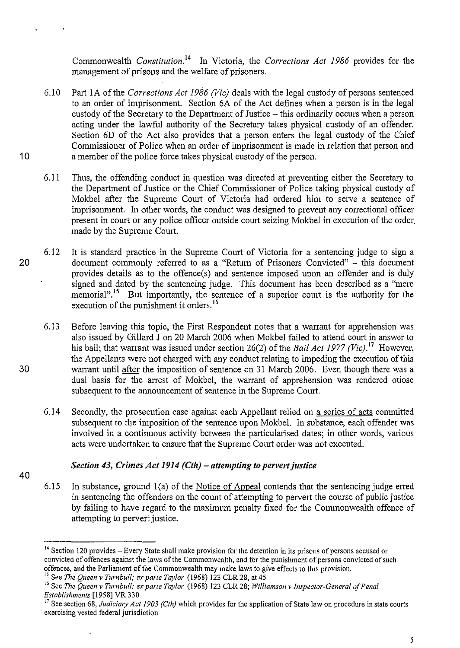Commonwealth *Constitution*.<sup>14</sup> In Victoria, the *Corrections Act 1986* provides for the management of prisons and the welfare of prisoners.

- 6.10 Part lA of the *Corrections Act 1986 (Vic)* deals with the legal custody of persons sentenced to an order of imprisonment. Section 6A of the Act defines when a person is in the legal custody of the Secretary to the Department of Justice- this ordinarily occurs when a person acting under the lawful authority of the Secretary takes physical custody of an offender. Section 6D of the Act also provides that a person enters the legal custody of the Chief Commissioner of Police when an order of imprisonment is made in relation that person and 10 a member of the police force takes physical custody of the person.
	- 6.11 Thus, the offending conduct in question was directed at preventing either the Secretary to the Department of Justice or the Chief Commissioner of Police taking physical custody of Mokbel after the Supreme Court of Victoria had ordered him to serve a sentence of imprisonment. In other words, the conduct was designed to prevent any correctional officer present in court or any police officer outside court seizing Mokbel in execution of the order. made by the Supreme Court.
- 6.12 It is standard practice in the Supreme Court of Victoria for a sentencing judge to sign a 20 document commonly referred to as a "Return of Prisoners Convicted" - this document provides details as to the offence(s) and sentence imposed upon an offender and is duly signed and dated by the sentencing judge. This document has been described as a "mere" memorial".<sup>15</sup> But importantly, the sentence of a superior court is the authority for the execution of the punishment it orders.<sup>16</sup>
- 6.13 Before leaving this topic, the First Respondent notes that a warrant for apprehension was also issued by Gillard J on 20 March 2006 when Mokbel failed to attend court in answer to his bail; that warrant was issued under section 26(2) of the *Bail Act 1977 (Vic)*.<sup>17</sup> However, the Appellants were not charged with any conduct relating to impeding the execution of this 30 warrant until after the imposition of sentence on 31 March 2006. Even though there was a dual basis for the arrest of Mokbel, the warrant of apprehension was rendered otiose subsequent to the announcement of sentence in the Supreme Court.
	- 6.14 Secondly, the prosecution case against each Appellant relied on a series of acts committed subsequent to the imposition of the sentence upon Mokbel. In substance, each offender was involved in a continuous activity between the particularised dates; in other words, various acts were undertaken to ensure that the Supreme Court order was not executed.

## *Section 43, Crimes Act 1914 (Cth)- attempting to pervert justice*

- 40
- 6.15 In substance, ground 1(a) of the Notice of Appeal contends that the sentencing judge erred in sentencing the offenders on the count of attempting to pervert the course of public justice by failing to have regard to the maximum penalty fixed for the Commonwealth offence of attempting to pervert justice.

<sup>&</sup>lt;sup>14</sup> Section 120 provides – Every State shall make provision for the detention in its prisons of persons accused or convicted of offences against the laws of the Commonwealth, and for the punishment of persons convicted of such offences, and the Parliament of the Commonwealth may make laws to give effects to this provision.<br><sup>15</sup> See *The Queen v Turnbull; ex parte Taylor* (1968) 123 CLR 28, at 45

<sup>&</sup>lt;sup>16</sup> See *The Queen v Turnbull; ex parte Taylor* (1968) 123 CLR 28; *Williamson v Inspector-General of Penal Establishments* [1958] VR 330

<sup>&</sup>lt;sup>17</sup> See section 68, *Judiciary Act 1903 (Cth)* which provides for the application of State law on procedure in state courts exercising vested federal jurisdiction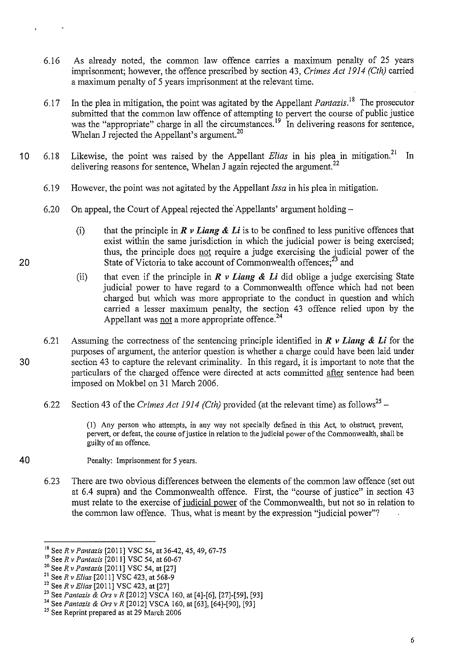- 6.16 As already noted, the common law offence carries a maximum penalty of 25 years imprisonment; however, the offence prescribed by section 43, *Crimes Act 1914 (Cth)* carried a maximum penalty of 5 years imprisonment at the relevant time.
- 6.17 In the plea in mitigation, the point was agitated by the Appellant *Pantazis*.<sup>18</sup> The prosecutor submitted that the common law offence of attempting to pervert the course of public justice was the "appropriate" charge in all the circumstances.<sup>19</sup> In delivering reasons for sentence, Whelan J rejected the Appellant's argument.<sup>20</sup>
- **10** 6.18 Likewise, the point was raised by the Appellant *Elias* in his plea in mitigation.21 In delivering reasons for sentence, Whelan J again rejected the argument.<sup>22</sup>
	- 6.19 However, the point was not agitated by the Appellant *Issa* in his plea in mitigation.
	- 6.20 On appeal, the Court of Appeal rejected the Appellants' argument holding  $-$ 
		- (i) that the principle in  $\vec{R}$  v *Liang & Li* is to be confined to less punitive offences that exist within the same jurisdiction in which the judicial power is being exercised; thus, the principle does not require a judge exercising the judicial power of the State of Victoria to take account of Commonwealth offences; $^{23}$  and
		- (ii) that even if the principle in  $\mathbb{R}$  v Liang  $\&$  Li did oblige a judge exercising State judicial power to have regard to a Commonwealth offence which had not been charged but which was more appropriate to the conduct in question and which carried a lesser maximum penalty, the section 43 offence relied upon by the Appellant was not a more appropriate offence.<sup>24</sup>
- 6.21 Assuming the correctness of the sentencing principle identified in *R v Liang* **&** *Li* for the purposes of argument, the anterior question is whether a charge could have been laid under 30 section 43 to capture the relevant criminality. In this regard, it is important to note that the particulars of the charged offence were directed at acts committed after sentence had been imposed on Mokbel on 31 March 2006.
	- 6.22 Section 43 of the *Crimes Act 1914 (Cth)* provided (at the relevant time) as follows<sup>25</sup> –

(1) Any person who attempts, in any way not specially defined in this Act, to obstruct, prevent, pervert, or defeat, the course of justice in relation to the judicial power of the Commonwealth, shall be guilty of an offence.

- **40** Penalty: Imprisonment for 5 years.
	- 6.23 There are two obvious differences between the elements of the common law offence (set out at 6.4 supra) and the Commonwealth offence. First, the "course of justice" in section 43 must relate to the exercise of judicial power of the Commonwealth, but not so in relation to the common law offence. Thus, what is meant by the expression "judicial power"?

6

<sup>18</sup> SeeR *v Pantazis* [2011] VSC 54, at 36-42,45,49, 67-75

<sup>19</sup> SeeR *v Pantazis* [2011] VSC 54, at 60-67

<sup>&</sup>lt;sup>20</sup> See *R v Pantazis* [2011] VSC 54, at [27]<br><sup>21</sup> See *R v Elias* [2011] VSC 423, at 568-9

<sup>&</sup>lt;sup>22</sup> See *R v Elias* [2011] VSC 423, at [27]<br><sup>23</sup> See *Pantazis & Ors v R* [2012] VSCA 160, at [4]-[6], [27]-[59], [93]

<sup>&</sup>lt;sup>24</sup> See *Pantazis & Ors v R* [2012] VSCA 160, at [63], [64]-[90], [93]

<sup>&</sup>lt;sup>25</sup> See Reprint prepared as at 29 March 2006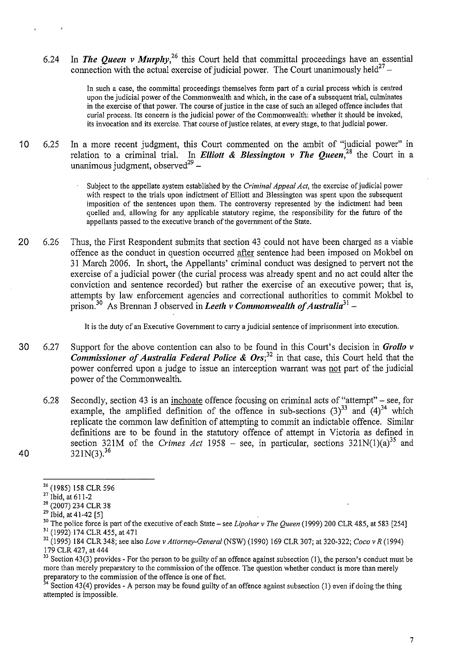6.24 In *The Queen v Murphy*<sup>26</sup>, this Court held that committal proceedings have an essential connection with the actual exercise of judicial power. The Court unanimously held<sup>27</sup> –

> In such a case, the committal proceedings themselves form part of a curial process which is centred upon the judicial power of the Commonwealth and which, in the case of a subsequent trial, culminates in the exercise of that power. The course of justice in the case of such an alleged offence includes that curial process. Its concern is the judicial power of the Commonwealth: whether it should be invoked, its invocation and its exercise. That course of justice relates, at every stage, to that judicial power.

- 10 6.25 In a more recent judgment, this Court commented on the ambit of "judicial power" in relation to a criminal trial. In *Elliott* **&** *Blessington v The Queen,* 28 the Court in a unanimous judgment, observed $29$  -
	- Subject to the appellate system established by the *Criminal Appeal Act,* the exercise of judicial power with respect to the trials upon indictment of Elliott and Blessington was spent upon the subsequent imposition of the sentences upon them. The controversy represented by the indictment had been quelled and, allowing for any applicable statutory regime, the responsibility for the future of the appellants passed to the executive branch of the government of the State.
- 20 6.26 Thus, the First Respondent submits that section 43 could not have been charged as a viable offence as the conduct in question occurred after sentence had been imposed on Mokbel on 31 March 2006. In short, the Appellants' criminal conduct was designed to pervert not the exercise of a judicial power (the curial process was already spent and no act could alter the conviction and sentence recorded) but rather the exercise of an executive power; that is, attempts by law enforcement agencies and correctional authorities to commit Mokbel to prison?0 As Brennan J observed in *Leeth v Commonwealth of Australia***<sup>31</sup> -**

It is the duty of an Executive Government to carry a judicial sentence of imprisonment into execution.

- 30 6.27 Support for the above contention can also to be found in this Court's decision in *Grollo v Commissioner of Australia Federal Police* **&** *Ors; <sup>32</sup>*in that case, this Court held that the power conferred upon a judge to issue an interception warrant was not part of the judicial power of the Commonwealth.
- 6.28 Secondly, section 43 is an inchoate offence focusing on criminal acts of "attempt"- see, for example, the amplified definition of the offence in sub-sections  $(3)^{33}$  and  $(4)^{34}$  which replicate the common law definition of attempting to commit an indictable offence. Similar definitions are to be found in the statutory offence of attempt in Victoria as defined in section 321M of the *Crimes Act* 1958 – see, in particular, sections  $321N(1)(a)^{35}$  and **40** 321N(3).<sup>36</sup>
- 

 $33$  Section 43(3) provides - For the person to be guilty of an offence against subsection (1), the person's conduct must be more than merely preparatory to the commission of the offence. The question whether conduct is more than merely preparatory to the commission of the offence is one of fact.

 $4$  Section 43(4) provides - A person may be found guilty of an offence against subsection (1) even if doing the thing attempted is impossible.

<sup>26 (1985) 158</sup> CLR 596

 $27 \text{ libid, at } 611-2$ 

<sup>&</sup>lt;sup>28</sup> (2007) 234 CLR 38

 $29$  Ibid, at 41-42 [5]

<sup>&</sup>lt;sup>30</sup> The police force is part of the executive of each State – see *Lipohar v The Queen* (1999) 200 CLR 485, at 583 [254]

<sup>31</sup>(1992) 174 CLR 455, at 471 32 (I 995) 184 CLR 348; see also *Love v Attorney-General* (NSW) (I 990) 169 CLR 307; at 320-322; *Coco v R* (1994) 179 CLR 427, at 444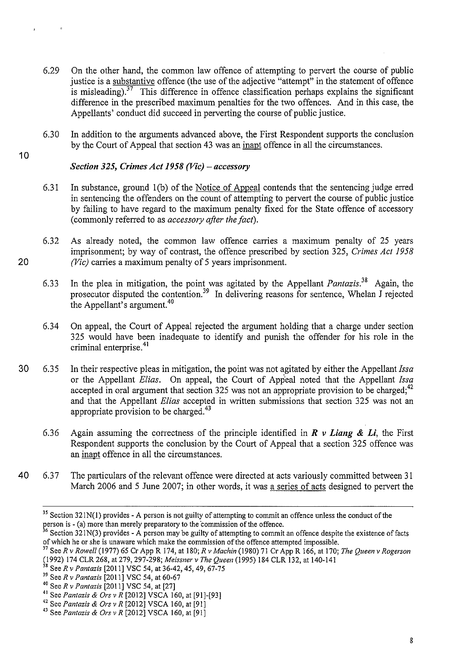- 6.29 On the other hand, the common law offence of attempting to pervert the course of public justice is a substantive offence (the use of the adjective "attempt" in the statement of offence is misleading).<sup>37</sup> This difference in offence classification perhaps explains the significant difference in the prescribed maximum penalties for the two offences. And in this case, the Appellants' conduct did succeed in perverting the course of public justice.
- 6.30 In addition to the arguments advanced above, the First Respondent supports the conclusion by the Court of Appeal that section 43 was an inapt offence in all the circumstances.
- 10

# *Section 325, Crimes Act 1958 (Vic)- accessory*

- 6.31 In substance, ground 1(b) of the Notice of Appeal contends that the sentencing judge erred in sentencing the offenders on the count of attempting to pervert the course of public justice by failing to have regard to the maximum penalty fixed for the State offence of accessory (commonly referred to as *accessory after the fact).*
- 6.32 As already noted, the common law offence carries a maximum penalty of 25 years imprisonment; by way of contrast, the offence prescribed by section 325, *Crimes Act 1958*  20 *(Vic)* carries a maximum penalty of 5 years imprisonment.
	- 6.33 In the plea in mitigation, the point was agitated by the Appellant *Pantazis*.<sup>38</sup> Again, the prosecutor disputed the contention.<sup>39</sup> In delivering reasons for sentence, Whelan J rejected the Appellant's argument.<sup>40</sup>
	- 6.34 On appeal, the Court of Appeal rejected the argument holding that a charge under section 325 would have been inadequate to identify and punish the offender for his role in the criminal enterprise. 41
- 30 6.35 In their respective pleas in mitigation, the point was not agitated by either the Appellant *Issa*  or the Appellant *Elias*. On appeal, the Court of Appeal noted that the Appellant *Issa* accepted in oral argument that section 325 was not an appropriate provision to be charged;<sup>42</sup> and that the Appellant *Elias* accepted in written submissions that section 325 was not an appropriate provision to be charged.<sup>43</sup>
	- 6.36 Again assuming the correctness of the principle identified in *R v Liang* & *Li,* the First Respondent supports the conclusion by the Court of Appeal that a section 325 offence was an inapt offence in all the circumstances.
- 40 6.37 The particulars of the relevant offence were directed at acts variously committed between 31 March 2006 and 5 June 2007; in other words, it was a series of acts designed to pervert the

<sup>&</sup>lt;sup>35</sup> Section 321N(1) provides - A person is not guilty of attempting to commit an offence unless the conduct of the person is - (a) more than merely preparatory to the commission of the offence.<br><sup>36</sup> Section 321N(3) provides - A person may be guilty of attempting to commit an offence despite the existence of facts

of which he or she is unaware which make the commission of the offence attempted impossible.

<sup>37</sup>SeeR v *Rowell* (1977) 65 Cr App R 174, at 180; *R* v *Machin* (1980) 71 Cr App R 166, at 170; *The Queen* v *Rogerson*  (1992) 174 CLR 268, at 279, 297-298; *Meissner v The Queen* (1995) 184 CLR 132, at 140-141<sup>38</sup> See R v *Pantazis* [2011] VSC 54, at 36-42, 45, 49, 67-75

<sup>39</sup> See R v Pantazis [2011] VSC 54, at 60-67<br><sup>40</sup> See R v Pantazis [2011] VSC 54, at [27]<br><sup>41</sup> See Pantazis & Ors v R [2012] VSCA 160, at [91]-[93]

<sup>41</sup> See *Pantazis* & *Ors v R* [2012] VSCA 160, at [91]-[93] 42 See *Pantazis* & *Ors v R* [2012] VSCA 160, at [91]

<sup>43</sup> See *Pantazis* & *Ors v R* [2012] VSCA 160, at [91]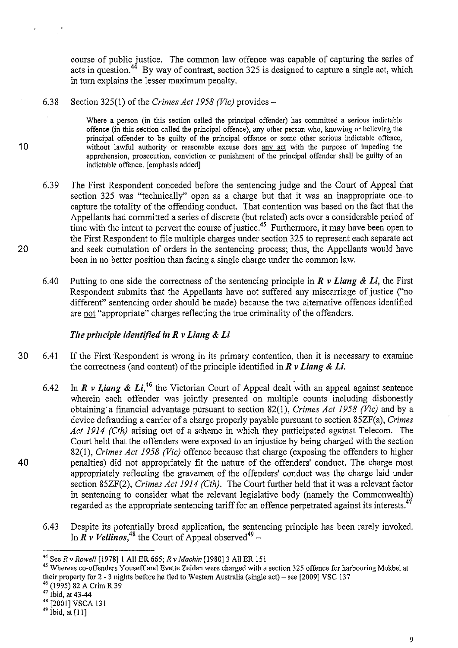course of public justice. The common law offence was capable of capturing the series of acts in question.<sup>44</sup> By way of contrast, section 325 is designed to capture a single act, which in turn explains the lesser maximum penalty.

6.38 Section 325(1) of the *Crimes Act 1958 (Vic)* provides-

Where a person (in this section called the principal offender) has committed a serious indictable offence (in this section called the principal offence), any other person who, knowing or believing the principal offender to be guilty of the principal offence or some other serious indictable offence, 10 without lawful authority or reasonable excuse does any act with the purpose of impeding the apprehension, prosecution, conviction or punishment of the principal offender shall be guilty of an indictable offence. [emphasis added]

- 6.39 The First Respondent conceded before the sentencing judge and the Court of Appeal that section 325 was "technically" open as a charge but that it was an inappropriate one. to capture the totality of the offending conduct. That contention was based on the fact that the Appellants had committed a series of discrete (but related) acts over a considerable period of time with the intent to pervert the course of justice.<sup>45</sup> Furthermore, it may have been open to the First Respondent to file multiple charges under section 325 to represent each separate act 20 and seek cumulation of orders in the sentencing process; thus, the Appellants would have been in no better position than facing a single charge under the common law.
	- 6.40 Putting to one side the correctness of the sentencing principle in  $\vec{R}$  v Liang  $\&$  Li, the First Respondent submits that the Appellants have not suffered any miscarriage of justice ("no different" sentencing order should be made) because the two alternative offences identified are not "appropriate" charges reflecting the true criminality of the offenders.

## *The principle identified in R v Liang* & *Li*

- 30 6.41 If the First Respondent is wrong in its primary contention, then it is necessary to examine the correctness (and content) of the principle identified in *R v Liang* & *Li.*
- 6.42 In *R v Liang & Li*,<sup>46</sup> the Victorian Court of Appeal dealt with an appeal against sentence wherein each offender was jointly presented on multiple counts including dishonestly obtaining· a financial advantage pursuant to section 82(1), *Crimes Act 1958 (Vic)* aud by a device defrauding a carrier of a charge properly payable pursuant to section 85ZF(a), *Crimes Act 1914 (Cth)* arising out of a scheme in which they participated against Telecom. The Court held that the offenders were exposed to an injustice by being charged with the section 82(1), *Crimes Act 1958 (Vic)* offence because that charge (exposing the offenders to higher 40 penalties) did not appropriately fit the nature of the offenders' conduct. The charge most appropriately reflecting the gravamen of the offenders' conduct was the charge laid under section 85ZF(2), *Crimes Act 1914 (Cth).* The Court further held that it was a relevant factor in sentencing to consider what the relevant legislative body (namely the Commonwealth) regarded as the appropriate sentencing tariff for an offence perpetrated against its interests.<sup>47</sup>
	- 6.43 Despite its potentially broad application, the sentencing principle has been rarely invoked. In  $\overline{R}$  v Vellinos,<sup>48</sup> the Court of Appeal observed<sup>49</sup> –

 $^{46}$  (1995) 82 A Crim R 39<br>  $^{47}$  Ibid, at 43-44<br>  $^{48}$  [2001] VSCA 131<br>  $^{49}$  Ibid, at [11]

<sup>&</sup>lt;sup>44</sup> See *R v Rowell* [1978] 1 All ER 665; *R v Machin* [1980] 3 All ER 151 exection 325 offence for harbouring Mokbel at <sup>45</sup> Whereas co-offenders Youseff and Evette Zeidan were charged with a section 325 offence for harb their property for 2- 3 nights before he fled to Western Australia (single act)- see [2009] VSC 137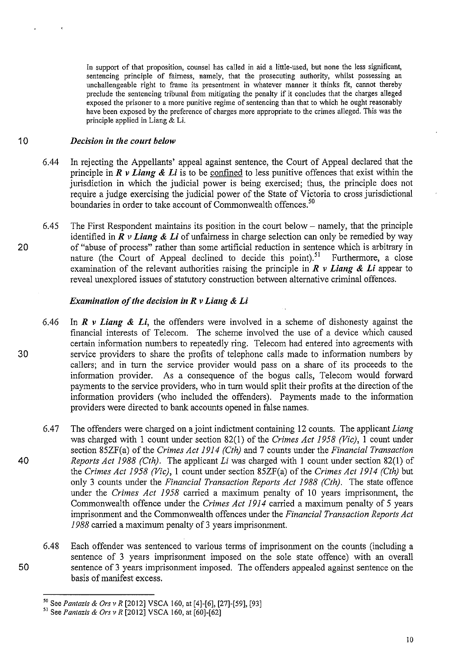In support of that proposition, counsel has called in aid a little-used, but none the less significant, sentencing principle of fairness, namely, that the prosecuting authority, whilst possessing an unchallengeable right to frame its presentment in whatever manner it thinks fit, cannot thereby preclude the sentencing tribunal from mitigating the penalty if it concludes that the charges alleged exposed the prisoner to a more punitive regime of sentencing than that to which he ought reasonably have been exposed by the preference of charges more appropriate to the crimes alleged. This was the principle applied in Liang & Li.

#### 10 *Decision in the court below*

- 6.44 In rejecting the Appellants' appeal against sentence, the Court of Appeal declared that the principle in *R v Liang & Li* is to be confined to less punitive offences that exist within the jurisdiction in which the judicial power is being exercised; thus, the principle does not require a judge exercising the judicial power of the State of Victoria to cross jurisdictional boundaries in order to take account of Commonwealth offences.<sup>50</sup>
- 6.45 The First Respondent maintains its position in the court below- namely, that the principle identified in  $\vec{R}$   $\nu$  *Liang & Li* of unfairness in charge selection can only be remedied by way 20 of "abuse of process" rather than some artificial reduction in sentence which is arbitrary in nature (the Court of Appeal declined to decide this point).<sup>51</sup> Furthermore, a close nature (the Court of Appeal declined to decide this point).<sup>51</sup> examination of the relevant authorities raising the principle in  $\mathbb{R}$  v **Liang & Li** appear to reveal unexplored issues of statutory construction between alternative criminal offences.

#### *Examination of the decision in* R *v Liang* & *Li*

- 6.46 In *R v Liang* & *Li,* the offenders were involved in a scheme of dishonesty against the financial interests of Telecom. The scheme involved the use of a device which caused certain information numbers to repeatedly ring. Telecom had entered into agreements with 30 service providers to share the profits of telephone calls made to information numbers by callers; and in turn the service provider would pass on a share of its proceeds to the information provider. As a consequence of the bogus calls, Telecom would forward payments to the service providers, who in turn would split their profits at the direction of the information providers (who included the offenders). Payments made to the information providers were directed to bank accounts opened in false names.
- 6.47 The offenders were charged on a joint indictment containing 12 counts. The applicant *liang*  was charged with 1 count under section 82(1) of the *Crimes Act 1958 (Vic),* 1 count under section 85ZF(a) of the *Crimes Act 1914 (Cth)* and 7 counts under the *Financial Transaction*  40 *Reports Act 1988 (Cth).* The applicant *Li* was charged with 1 count under section 82(1) of the *Crimes Act 1958 (Vic),* 1 count under section 85ZF(a) of the *Crimes Act 1914 (Cth)* but only 3 counts under the *Financial Transaction Reports Act 1988 (Cth).* The state offence under the *Crimes Act 1958* carried a maximum penalty of 10 years imprisonment, the Commonwealth offence under the *Crimes Act 1914* carried a maximum penalty of 5 years imprisonment and the Commonwealth offences under the *Financial Transaction Reports Act 1988* carried a maximum penalty of 3 years imprisonment.
- 6.48 Each offender was sentenced to various terms of imprisonment on the counts (including a sentence of 3 years imprisonment imposed on the sole state offence) with an overall 50 sentence of 3 years imprisonment imposed. The offenders appealed against sentence on the basis of manifest excess.

*so* See *Pantazis* & *Ors v R* [2012] VSCA 160, at [4]-[6], [27]-[59], [93] 51 See *Pantazis* & *Ors v R* [2012] VSCA 160, at [60]-[62]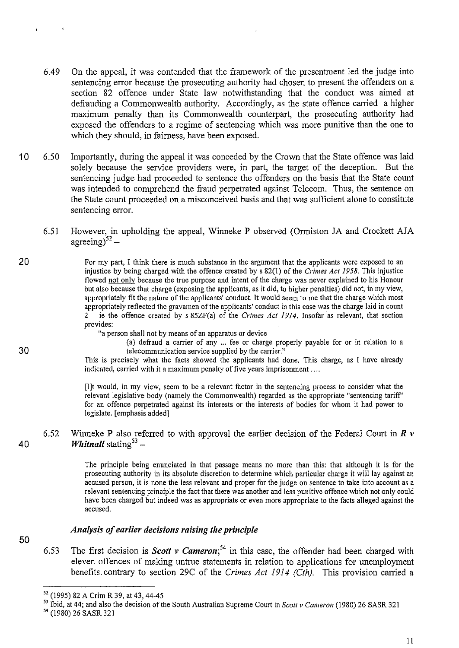- 6.49 On the appeal, it was contended that the framework of the presentment led the judge into sentencing error because the prosecuting authority had chosen to present the offenders on a section 82 offence under State law notwithstanding that the conduct was aimed at defrauding a Commonwealth authority. Accordingly, as the state offence carried a higher maximum penalty than its Commonwealth counterpart, the prosecuting authority had exposed the offenders to a regime of sentencing which was more punitive than the one to which they should, in fairness, have been exposed.
- 10 6.50 Importantly, during the appeal it was conceded by the Crown that the State offence was laid solely because the service providers were, in part, the target of the deception. But the sentencing judge had proceeded to sentence the offenders on the basis that the State count was intended to comprehend the fraud perpetrated against Telecom. Thus, the sentence on the State count proceeded on a misconceived basis and that was sufficient alone to constitute sentencing error.
	- 6.51 However, in upholding the appeal, Winneke P observed (Ormiston JA and Crockett AJA agreeing) $5^2$  -
- 20 For my part, I think there is much substance in the argument that the applicants were exposed to an injustice by being charged with the offence created by s 82(1) of the *Crimes Actl958.* This injustice flowed not only because the true purpose and intent of the charge was never explained to his Honour but also because that charge (exposing the applicants, as it did, to higher penalties) did not, in my view, appropriately fit the nature of the applicants' conduct. It would seem to me that the charge which most appropriately reflected the gravamen of the applicants' conduct in this case was the charge laid in count 2 - ie the offence created by s 85ZF(a) of the *Crimes Act 1914.* Insofar as relevant, that section provides:

"a person shall not by means of an apparatus or device

(a) defraud a carrier of any ... fee or charge properly payable for or in relation to a 30 telecommunication service supplied by the carrier."

This is precisely what the facts showed the applicants had done. This charge, as I have already indicated, carried with it a maximum penalty of five years imprisonment ....

[I]t would, in my view, seem to be a relevant factor in the sentencing process to consider what the relevant legislative body (namely the Commonwealth) regarded as the appropriate "sentencing tariff' for an offence perpetrated against its interests or the interests of bodies for whom it had power to legislate. [emphasis added]

## 6.52 Winneke **P** also referred to with approval the earlier decision of the Federal Comt in *R v*  40 *Whitnall* stating<sup>53</sup> –

The principle being enunciated in that passage means no more than this: that although it is for the prosecuting authority in its absolute discretion to determine which particular charge it will lay against an accused person, it is none the less relevant and proper for the judge on sentence to take into account as a relevant sentencing principle the fact that there was another and less punitive offence which not only could have been charged but indeed was as appropriate or even more appropriate to the facts alleged against the **accused.** 

#### *Analysis of earlier decisions raising the principle*

6.53 The first decision is *Scott v Cameron; <sup>54</sup>*in this case, the offender had been charged with eleven offences of making untrue statements in relation to applications for unemployment benefits. contrary to section 29C of the *Crimes Act 1914 (Cth).* This provision carried a

II

<sup>&</sup>lt;sup>52</sup> (1995) 82 A Crim R 39, at 43, 44-45<br><sup>53</sup> Ibid, at 44; and also the decision of the South Australian Supreme Court in *Scott v Cameron* (1980) 26 SASR 321<br><sup>54</sup> (1980) 26 SASR 321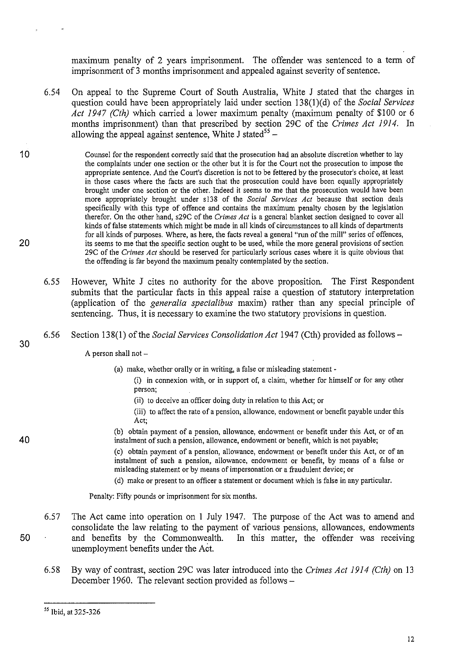maximum penalty of 2 years imprisonment. The offender was sentenced to a term of imprisonment of 3 months imprisonment and appealed against severity of sentence.

- 6.54 On appeal to the Supreme Court of South Australia, White J stated that the charges in question could have been appropriately laid under section 138(l)(d) of the *Social Services Act 1947 (Cth)* which carried a lower maximum penalty (maximum penalty of \$100 or 6 months imprisonment) than that prescribed by section 29C of the *Crimes Act 1914.* In allowing the appeal against sentence. White J stated<sup>55</sup> –
- 1 0 Counsel for the respondent correctly said that the prosecution had an absolute discretion whether to lay the complaints under one section or the other but it is for the Court not the prosecution to impose the appropriate sentence. And the Court's discretion is not to be fettered by the prosecutor's choice, at least in those cases where the facts are such that the prosecution could have been equally appropriately brought under one section or the other. Indeed it seems to me that the prosecution would have been more appropriately brought under sl38 of the *Social Services Act* because that section deals specifically with this type of offence and contains the maximum penalty chosen by the legislation therefor. On the other hand, s29C of the *Crimes Act* is a general blanket section designed to cover all kinds of false statements which might be made in all kinds of circumstances to all kinds of departments for all kinds of purposes. Where, as here, the facts reveal a general "run of the mill" series of offences, 20 its seems to me that the specific section ought to be used, while the more general provisions of section 29C of the *Crimes Act* should be reserved for particularly serious cases where it is quite obvious that the offending is far beyond the maximum penalty contemplated by the section.
	- 6.55 However, White J cites no authority for the above proposition. The First Respondent submits that the particular facts in this appeal raise a question of statutory interpretation (application of the *generalia specialibus* maxim) rather than any special principle of sentencing. Thus, it is necessary to examine the two statutory provisions in question.
	- 6.56 Section 138(1) of the *Social Services Consolidation Act* 1947 (Cth) provided as follows-

A person shall not  $-$ 

- (a) make, whether orally or in writing, a false or misleading statement-
	- (i) in connexion with, or in support of, a claim, whether for himself or for any other **person;**
	- (ii) to deceive an officer doing duty in relation to this Act; or
	- (iii) to affect the rate of a pension, allowance, endowment or benefit payable under this **Act;**
- (b) obtain payment of a pension, allowance, endowment or benefit under this Act, or of an instalment of such a pension, allowance, endowment or benefit, which is not payable;

(c) obtain payment of a pension, allowance, endowment or benefit under this Act, or of an instalment of such a pension, allowance, endowment or benefit, by means of a false or misleading statement or by means of impersonation or a fraudulent device; or

(d) make or present to an officer a statement or document which is false in any particular.

Penalty: Fifty pounds or imprisonment for six months.

- 6.57 The Act came into operation on **1** July 1947. The purpose of the Act was to amend and consolidate the law relating to the payment of various pensions, allowances, endowments 50 and benefits by the Commonwealth. In this matter, the offender was receiving unemployment benefits under the Act.
	- 6.58 By way of contrast, section 29C was later introduced into the *Crimes Act 1914 (Cth)* on 13 December 1960. The relevant section provided as follows-

*<sup>55</sup>*Ibid, at 325-326

30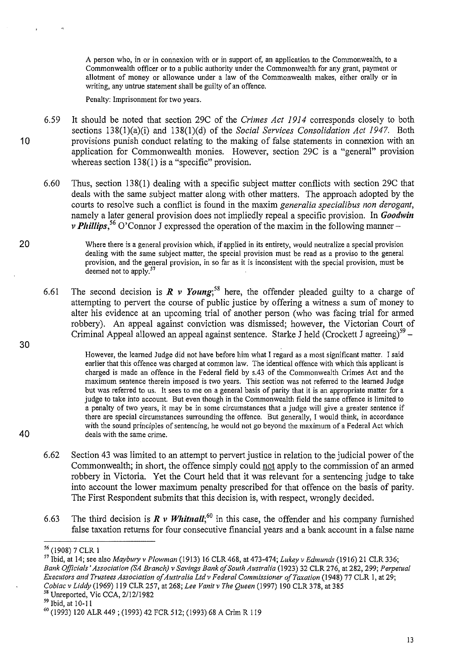A person who, in or in connexion with or in support of, an application to the Commonwealth, to a Commonwealth officer or to a public authority under the Commonwealth for any grant, payment or allotment of money or allowance under a law of the Commonwealth makes, either orally or in writing, any untrue statement shall be guilty of an offence.

Penalty: Imprisonment for two years.

- 6.59 It should be noted that section 29C of the *Crimes Act 1914* corresponds closely to both sections 138(l)(a)(i) and 138(1)(d) of the *Social Services Consolidation Act 1947.* Both **1** 0 provisions punish conduct relating to the making of false statements in connexion with an application for Commonwealth monies. However, section 29C is a "general" provision whereas section 138(1) is a "specific" provision.
	- 6.60 Thus, section 138(1) dealing with a specific subject matter conflicts with section 29C that deals with the same subject matter along with other matters. The approach adopted by the courts to resolve such a conflict is found in the maxim *generalia specialibus non derogant,*  namely a later general provision does not impliedly repeal a specific provision. In *Goodwin v Phillips*,<sup>56</sup> O'Connor J expressed the operation of the maxim in the following manner-
- 20 Where there is a general provision which, if applied in its entirety, would neutralize a special provision dealing with the same subject matter, the special provision must be read as a proviso to the general provision, and the general provision, in so far as it is inconsistent with the special provision, must be deemed not to apply.<sup>57</sup>
	- 6.61 The second decision is  $R \vee Young$ ;<sup>58</sup> here, the offender pleaded guilty to a charge of attempting to pervert the course of public justice by offering a witness a sum of money to alter his evidence at an upcoming trial of another person (who was facing trial for armed robbery). An appeal against conviction was dismissed; however, the Victorian Court of Criminal Appeal allowed an appeal against sentence. Starke J held (Crockett J agreeing)<sup>59</sup> –

However, the learned Judge did not have before him what I regard as a most significant matter. I said earlier that this offence was charged at common law. The identical offence with which this applicant is charged is made an offence in the Federal field by s.43 of the Commonwealth Crimes Act and the maximum sentence therein imposed is two years. This section was not referred to the learned Judge but was referred to us. It sees to me on a general basis of parity that it is an appropriate matter for a judge to take into account. But even though in the Commonwealth field the same offence is limited to a penalty of two years, it may be in some circumstances that a judge will give a greater sentence if there are special circumstances surrounding the offence. But generally, I would think, in accordance with the sound principles of sentencing, he would not go beyond the maximum of a Federal Act which 40 deals with the same crime.

- 6.62 Section 43 was limited to an attempt to pervert justice in relation to the judicial power of the Commonwealth; in short, the offence simply could not apply to the commission of an armed robbery in Victoria. Yet the Court held that it was relevant for a sentencing judge to take into account the lower maximum penalty prescribed for that offence on the basis of parity. The First Respondent submits that this decision is, with respect, wrongly decided.
- 6.63 The third decision is  $\mathbb{R}$  v Whitnall;<sup>60</sup> in this case, the offender and his company furnished false taxation returns for four consecutive financial years and a bank account in a false name

<sup>&</sup>lt;sup>56</sup> (1908) 7 CLR 1<br><sup>57</sup> Ibid, at 14; see also *Maybury v Plowman* (1913) 16 CLR 468, at 473-474; *Lukey v Edmunds* (1916) 21 CLR 336; *Bank Officials' Association (SA Branch) v Savings Bank of South Australia* (1923) 32 CLR 276, at 282, 299; *Perpetual Executors and Trustees Association of Australia Ltd v Federal Commissioner a/Taxation* (1948) 77 CLR I, at 29; *Cobiac v Liddy* (1969) 119 CLR 257, at 268; *Lee Vanit v The Queen* (1997) 190 CLR 378, at 385 Unreported, Vic CCA, 2/12/1982

 $<sup>59</sup>$  Ibid, at 10-11</sup>

<sup>60 (1993) 120</sup> ALR 449 ; (1993) 42 FCR 512; (1993) 68 A Crim R 119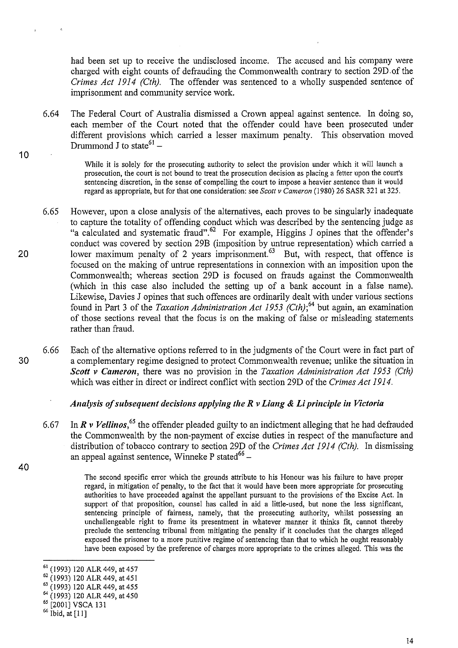had been set up to receive the undisclosed income. The accused and his company were charged with eight counts of defrauding the Commonwealth contrary to section 29D. of the *Crimes Act 1914 (Cth).* The offender was sentenced to a wholly suspended sentence of imprisonment and community service work.

6.64 The Federal Court of Australia dismissed a Crown appeal against sentence. In doing so, each member of the Court noted that the offender could have been prosecuted under different provisions which carried a lesser maximum penalty. This observation moved Drummond J to state<sup>61</sup> –

> While it is solely for the prosecuting authority to select the provision under which it will launch a prosecution, the court is not bound to treat the prosecution decision as placing a fetter upon the court's sentencing discretion, in the sense of compelling the court to impose a heavier sentence than it would regard as appropriate, but for that one consideration: see *Scott v Cameron* (1980) 26 SASR 321 at 325.

- 6.65 However, upon a close analysis of the alternatives, each proves to be singularly inadequate to capture the totality of offending conduct which was described by the sentencing judge as "a calculated and systematic fraud".<sup>62</sup> For example, Higgins J opines that the offender's conduct was covered by section 29B (imposition by untrue representation) which carried a 20 lower maximum penalty of 2 years imprisonment.<sup> $63$ </sup> But, with respect, that offence is focused on the making of untrue representations in connexion with an imposition upon the Commonwealth; whereas section 29D is focused on frauds against the Commonwealth (which in this case also included the setting up of a bank account in a false name). Likewise, Davies J opines that such offences are ordinarily dealt with under various sections found in Part 3 of the *Taxation Administration Act 1953* (Cth);<sup>64</sup> but again, an examination of those sections reveal that the focus is on the making of false or misleading statements rather than fraud.
- 6.66 Each of the alternative options referred to in the judgments of the Court were in fact part of 30 a complementary regime designed to protect Commonwealth revenue; unlike the situation in *Scott v Cameron,* there was no provision in the *Taxation Administration Act 1953 (Cth)*  which was either in direct or indirect conflict with section 29D of the *Crimes Act 1914.*

#### *Analysis of subsequent decisions applying the R v Liang* **&** *Li principle in Victoria*

6.67 In *R v Vellinos,<sup>65</sup>*the offender pleaded guilty to an indictment alleging that he had defrauded the Commonwealth by the non-payment of excise duties in respect of the manufacture and distribution of tobacco contrary to section 29D of the *Crimes Act 1914 (Cth).* In dismissing an appeal against sentence, Winneke P stated $66 -$ 

> The second specific error which the grounds attribute to his Honour was his failure to have proper regard, in mitigation of penalty, to the fact that it would have been more appropriate for prosecuting authorities to have proceeded against the appellant pursuant to the provisions of the Excise Act. In support of that proposition, counsel has called in aid a little-used, but none the less significant, sentencing principle of fairness, namely, that the prosecuting authority, whilst possessing an unchallengeable right to frame its presentment in whatever manner it thinks fit, cannot thereby preclude the sentencing tribunal from mitigating the penalty if it concludes that the charges alleged exposed the prisoner to a more punitive regime of sentencing than that to which he ought reasonably have been exposed by the preference of charges more appropriate to the crimes alleged. This was the

40

<sup>&</sup>lt;sup>61</sup> (1993) 120 ALR 449, at 457<br><sup>62</sup> (1993) 120 ALR 449, at 451<br><sup>63</sup> (1993) 120 ALR 449, at 455

<sup>64 (1993) 120</sup> ALR 449, at 450

*<sup>65</sup>*[2001] VSCA 131

 $66$  Ibid, at [11]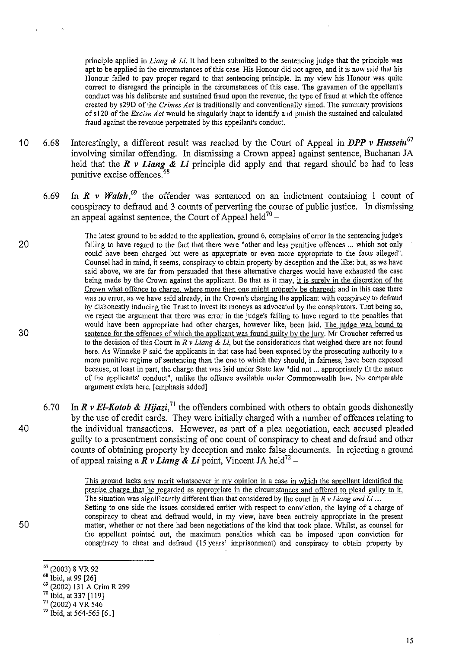principle applied in *Liang* & *Li.* It had been submitted to the sentencing judge that the principle was apt to be applied in the circumstances of this case. His Honour did not agree, and it is now said that his Honour failed to pay proper regard to that sentencing principle. In my view his Honour was quite correct to disregard the principle in the circumstances of this case. The gravamen of the appellant's conduct was his deliberate and sustained fraud upon the revenue, the type of fraud at which the offence created by s29D of the *Crimes Act* is traditionally and conventionally aimed. The summary provisions ofsl20 of the *Excise Act* would be singularly inapt to identify and punish the sustained and calculated fraud against the revenue perpetrated by this appellant's conduct.

- 10 6.68 Interestingly, a different result was reached by the Court of Appeal in *DPP v Hussein*<sup>67</sup> involving similar offending. In dismissing a Crown appeal against sentence, Buchanan JA held that the *R v Liang* **&** *Li* principle did apply and that regard should be had to less punitive excise offences.<sup>68</sup>
	- 6.69 In  $\mathbb{R}$  *v Walsh*,<sup>69</sup> the offender was sentenced on an indictment containing 1 count of conspiracy to defraud and 3 counts of perverting the course of public justice. In dismissing an appeal against sentence, the Court of Appeal held<sup>70</sup> -
- The latest ground to be added to the application, ground 6, complains of error in the sentencing judge's 20 failing to have regard to the fact that there were "other and less punitive offences ... which not only could have been charged but were as appropriate or even more appropriate to the facts alleged". Counsel had in mind, it seems, conspiracy to obtain property by deception and the like: but, as we have said above, we are far from persuaded that these alternative charges would have exhausted the case being made by the Crown against the applicant. Be that as it may, it is surely in the discretion of the Crown what offence to charge. where more than one might properly be charged; and in this case there was no error, as we have said already, in the Crown's charging the applicant with conspiracy to defraud by dishonestly inducing the Trust to invest its moneys as advocated by the conspirators. That being so, we reject the argument that there was error in the judge's failing to have regard to the penalties that would have been appropriate had other charges, however like, been laid. The judge was bound to 30 sentence for the offences of which the applicant was found guilty by the jury. Mr Croucher referred us to the decision of this Court in *R v Liang* & Li, but the considerations that weighed there are not found here. As Winneke P said the applicants in that case had been exposed by the prosecuting authority to a more punitive regime of sentencing than the one to which they should, in fairness, have been exposed because, at least in part, the charge that was laid under State law "did not ... appropriately fit the nature of the applicants' conduct", unlike the offence available under Commonwealth law. No comparable argument exists here. [emphasis added]
- 6.70 In *R v El-Kotob & Hijazi*,<sup>71</sup> the offenders combined with others to obtain goods dishonestly by the use of credit cards. They were initially charged with a number of offences relating to 40 the individual transactions. However, as part of a plea negotiation, each accused pleaded guilty to a presentment consisting of one count of conspiracy to cheat and defraud and other counts of obtaining property by deception and make false documents. In rejecting a ground of appeal raising a  $\vec{R}$  v Liang & Li point, Vincent JA held<sup>72</sup> –

This ground lacks any merit whatsoever in my opinion in a case in which the appellant identified the precise charge that he regarded as appropriate in the circumstances and offered to plead guilty to it. The situation was significantly different than that considered by the court in *R* v *Liang and Li* ... Setting to one side the issues considered earlier with respect to conviction, the laying of a charge of conspiracy to cheat and defraud would, in my view, have been entirely appropriate in the present matter, whether or not there had been negotiations of the kind that took place. Whilst, as counsel for the appellant pointed out, the maximum penalties which can be imposed upon conviction for conspiracy to cheat and defraud (15 years' imprisonment) and conspiracy to obtain property by

- <sup>67</sup> (2003) 8 VR 92<br><sup>68</sup> Ibid, at 99 [26]<br><sup>69</sup> (2002) 131 A Crim R 299<br><sup>70</sup> Ibid, at 337 [119]
- 
- $71(2002)$  4 VR 546
- $72$  lbid, at 564-565 [61]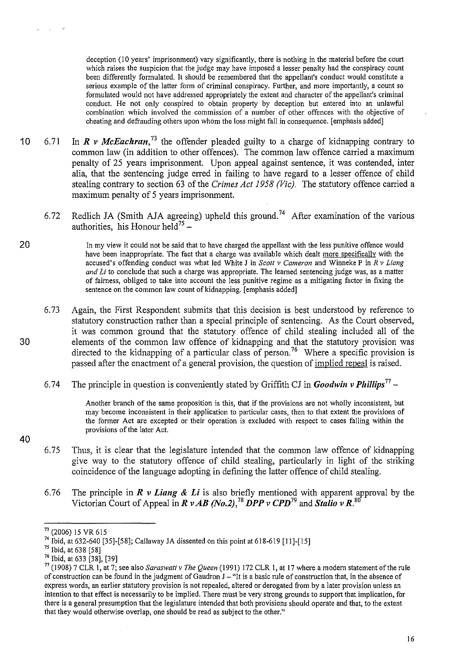deception (10 years' imprisonment) vary significantly, there is nothing in the material before the court which raises the suspicion that the judge may have imposed a lesser penalty had the conspiracy count been differently formulated. It should be remembered that the appellant's conduct would constitute a serious example of the latter form of criminal conspiracy. Further, and more importantly, a count so formulated would not have addressed appropriately the extent and character of the appellant's criminal conduct. He not only conspired to obtain property by deception but entered into an unlawful combination which involved the commission of a number of other offences with the objective of cheating and defrauding others upon whom the loss might fall in consequence. [emphasis added]

- 10 6.71 In *R v McEachran*,<sup>73</sup> the offender pleaded guilty to a charge of kidnapping contrary to common law (in addition to other offences). The common law offence carried a maximum penalty of 25 years imprisonment. Upon appeal against sentence, it was contended, inter alia, that the sentencing judge erred in failing to have regard to a lesser offence of child stealing contrary to section 63 of the *Crimes Act 1958 (Vic)*. The statutory offence carried a maximum penalty of 5 years imprisonment.
	- 6.72 Redlich JA (Smith AJA agreeing) upheld this ground.<sup>74</sup> After examination of the various authorities, his Honour held<sup>75</sup> -

In my view it could not be said that to have charged the appellant with the less punitive offence would have been inappropriate. The fact that a charge was available which dealt more specifically with the accused's offending conduct was what led White J in *Scott v Cameron* and Winneke P in *R v Liang and Li* to conclude that such a charge was appropriate. The learned sentencing judge was, as a matter of fairness, obliged to take into account the less punitive regime as a mitigating factor in fixing the sentence on the common law count of kidnapping. [emphasis added]

- 6. 73 Again, the First Respondent submits that this decision is best understood by reference to statutory construction rather than a special principle of sentencing. As the Court observed, it was common ground that the statutory offence of child stealing included all of the 30 elements of the common law offence of kidnapping and that the statutory provision was directed to the kidnapping of a particular class of person.<sup>76</sup> Where a specific provision is passed after the enactment of a general provision, the question of implied repeal is raised.
	- 6.74 The principle in question is conveniently stated by Griffith CJ in *Goodwin v Phillips<sup>77</sup> -*

Another branch of the same proposition is this, that if the provisions are not wholly inconsistent, but may become inconsistent in their application to particular cases, then to that extent the provisions of the former Act are excepted or their operation is excluded with respect to cases falling within the provisions of the later Act.

- 6.75 Thus, it is clear that the legislature intended that the common law offence of kidnapping give way to the statutory offence of child stealing, particularly in light of the striking coincidence of the language adopting in defining the latter offence of child stealing.
- 6.76 The principle in *R v Liang & Li* is also briefly mentioned with apparent approval by the Victorian Court of Appeal in *R v AB (No.2),78 DPP v CPD79* **and** *Stalio v* **R. <sup>80</sup>**

20

**40** 

<sup>73</sup>(2006) 15 VR 615

<sup>74</sup> Ibid, at 632-640 [35]-[58]; Callaway JA dissented on this point at 618-619 [11]-[15]

<sup>75</sup> Ibid, at 638 [58]

 $76$  Ibid, at 633 [38], [39]

<sup>17 (1908) 7</sup> CLR I, at 7; see also *Saraswati v The Queen* (1991) 172 CLR I, at 17 where a modem statement of the rule of construction can be found in the judgment of Gaudron  $J$ -"It is a basic rule of construction that, in the absence of express words, an earlier statutory provision is not repealed, altered or derogated from by a later provision unless an intention to that effect is necessarily to be implied. There must be very strong grounds to support that implication, for there is a general presumption that the legislature intended that both provisions should operate and that, to the extent that they would otherwise overlap, one should be read as subject to the other."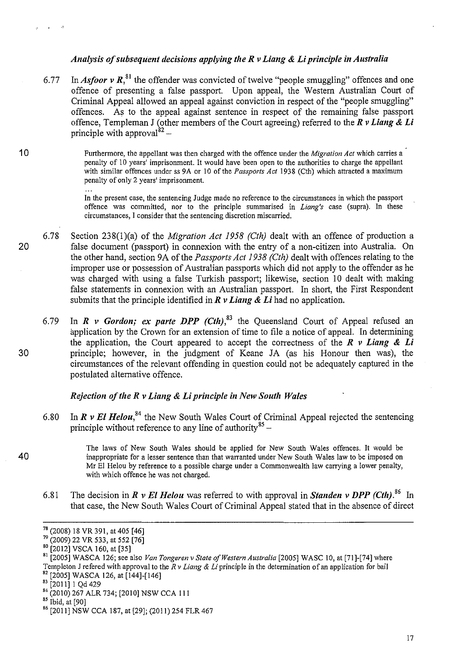### *Analysis of subsequent decisions applying the R v Liang* & *Li principle in Australia*

6.77 In **Asfoor v R**,<sup>81</sup> the offender was convicted of twelve "people smuggling" offences and one offence of presenting a false passport. Upon appeal, the Western Australian Court of Criminal Appeal allowed an appeal against conviction in respect of the "people smuggling" offences. As to the appeal against sentence in respect of the remaining false passport offence, Templeman J (other members of the Court agreeing) referred to the  $R v$  Liang  $\& Li$ principle with approval  $b^2$  -

1 0 Furthermore, the appellant was then charged with the offence under the *Migration Act* which carries a penalty of 10 years' imprisonment. It would have been open to the authorities to charge the appellant with similar offences under ss 9A or 10 of the *Passports Act* 1938 (Cth) which attracted a maximum penalty of only 2 years' imprisonment.

> In the present case, the sentencing Judge made no reference to the circumstances in which the passport offence was committed, nor to the principle summarised in *Liang's* case (supra). In these circumstances, I consider that the sentencing discretion miscarried.

- 6.78 Section 238(1)(a) of the *Migration Act 1958 (Cth)* dealt with an offence of production a 20 false document (passport) in connexion with the entry of a non-citizen into Australia. On the other hand, section 9A of the *Passports Act 1938 (Cth)* dealt with offences relating to the improper use or possession of Australian passports which did not apply to the offender as he was charged with using a false Turkish passport; likewise, section 10 dealt with making false statements in connexion with an Australian passport. In short, the First Respondent submits that the principle identified in  $\vec{R}$   $\nu$  *Liang & Li* had no application.
- 6.79 In  $R$  *v* Gordon; ex parte DPP (Cth),  $83$  the Queensland Court of Appeal refused an application by the Crown for an extension of time to file a notice of appeal. In determining the application, the Court appeared to accept the correctness of the  $\vec{R}$  *v Liang & Li* 30 principle; however, in the judgment of Keane JA (as his Honour then was), the circumstances of the relevant offending in question could not be adequately captured in the postulated alternative offence.

### *Rejection of the R v Liang* & *Li principle in New South Wales*

6.80 In  $\vec{R}$   $\vec{v}$  *El Helou*,<sup>84</sup> the New South Wales Court of Criminal Appeal rejected the sentencing principle without reference to any line of authority $85 -$ 

The laws of New South Wales should be applied for New South Wales offences. It would be 40 inappropriate for a lesser sentence than that warranted under New South Wales law to be imposed on Mr El Helou by reference to a possible charge under a Commonwealth law carrying a lower penalty, with which offence he was not charged.

6.81 The decision in *R v El Helou* was referred to with approval in *Standen v DPP* (*Cth*).<sup>86</sup> In that case, the New South Wales Court of Criminal Appeal stated that in the absence of direct

 $\sim$  $\rightarrow$ 

<sup>78 (2008) 18</sup> VR 391, at 405 [46] 79 (2009) 22 VR 533, at 552 [76]

<sup>80 [2012]</sup> VSCA 160, at [35]<br>81 [2005] WASCA 126; see also *Van Tongeren v State of Western Australia* [2005] WASC 10, at [71]-[74] where Templeton J refered with approval to the *R v Liang & Li* principle in the determination of an application for bail <sup>82</sup> [2005] WASCA 126, at [144]-[146]<br><sup>82</sup> [2005] WASCA 126, at [144]-[146]

 $^{84}$  (2010) 267 ALR 734; [2010] NSW CCA 111<br><sup>85</sup> Ibid, at [90]

<sup>&</sup>lt;sup>86</sup> [2011] NSW CCA 187, at [29]; (2011) 254 FLR 467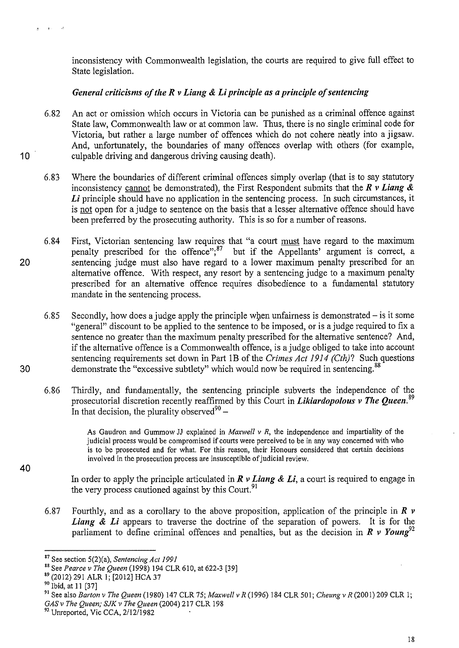inconsistency with Commonwealth legislation, the courts are required to give full effect to State legislation.

## *General criticisms of the R v Liang* **&** *Li principle as a principle of sentencing*

- 6.82 An act or omission which occurs in Victoria can be punished as a criminal offence against State law, Commonwealth law or at common law. Thus, there is no single criminal code for Victoria, but rather a large number of offences which do not cohere neatly into a jigsaw. And, unfortunately, the boundaries of many offences overlap with others (for example, **10** culpable driving and dangerous driving causing death).
	- 6.83 Where the boundaries of different criminal offences simply overlap (that is to say statutory inconsistency carmot be demonstrated), the First Respondent submits that the *R v Liang* & Li principle should have no application in the sentencing process. In such circumstances, it is not open for a judge to sentence on the basis that a lesser alternative offence should have been preferred by the prosecuting authority. This is so for a number of reasons.
- 6.84 First, Victorian sentencing law requires that "a court must have regard to the maximum penalty prescribed for the offence"; $^{87}$  but if the Appellants' argument is correct, a 20 sentencing judge must also have regard to a lower maximum penalty prescribed for an alternative offence. With respect, any resort by a sentencing judge to a maximum penalty prescribed for an alternative offence requires disobedience to a fundamental statutory mandate in the sentencing process.
- 6.85 Secondly, how does a judge apply the principle when unfairness is demonstrated is it some "general" discount to be applied to the sentence to be imposed, or is a judge required to fix a sentence no greater than the maximum penalty prescribed for the alternative sentence? And, if the alternative offence is a Commonwealth offence, is a judge obliged to take into account sentencing requirements set down in Part IB of the *Crimes Act 1914 (Cth)?* Such questions 30 demonstrate the "excessive subtlety" which would now be required in sentencing.<sup>88</sup>
	- 6.86 Thirdly, and fundamentally, the sentencing principle subverts the independence of the prosecutorial discretion recently reaffirmed by this Court in *Likiardopolous v The Queen.* <sup>89</sup> In that decision, the plurality observed<sup>90</sup> –

As Gaudron and Gummow JJ explained in *Maxwell v R,* the independence and impartiality of the judicial process would be compromised if courts were perceived to be in any way concerned with who is to be prosecuted and for what. For this reason, their Honours considered that certain decisions involved in the prosecution process are insusceptible of judicial review.

In order to apply the principle articulated in *R v Liang* **&** *Li,* a court is required to engage in the very process cautioned against by this Court.<sup>91</sup>

6.87 Fourthly, and as a corollary to the above proposition, application of the principle in *R v*  Liang & Li appears to traverse the doctrine of the separation of powers. It is for the parliament to define criminal offences and penalties, but as the decision in  $R$  v Young<sup>92</sup>

18

 $\mathbf{A}$ 

**Carl St** 

<sup>87</sup> See section 5(2)(a), *Sentencing Act 1991* 

<sup>88</sup> See *Pearce v The Queen* (1998) 194 CLR 610, at 622-3 [39]

<sup>89 (2012) 291</sup> ALR I; [2012] HCA 37

<sup>&</sup>lt;sup>90</sup> Ibid, at 11 [37]

<sup>91</sup> See also *Barton v The Queen* (1980) 147 CLR 75; *Maxwellv R* (1996) 184 CLR501; *Cheungv* R(2001)209 CLR I; *GASv The Queen; SJK v The Queen* (2004) 217 CLR 198

<sup>&</sup>lt;sup>92</sup> Unreported, Vic CCA, 2/12/1982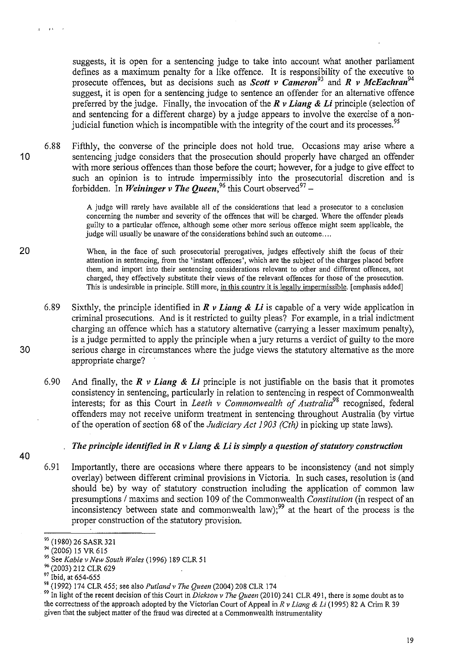suggests, it is open for a sentencing judge to take into account what another parliament defines as a maximum penalty for a like offence. It is responsibility of the executive to prosecute offences, but as decisions such as *Scott v Cameron<sup>93</sup>*and *R v McEacltran<sup>94</sup>* suggest, it is open for a sentencing judge to sentence an offender for an alternative offence preferred by the judge. Finally, the invocation of the *R v Liang* & *Li* principle (selection of and sentencing for a different charge) by a judge appears to involve the exercise of a nonjudicial function which is incompatible with the integrity of the court and its processes.<sup>95</sup>

6.88 Fifthly, the converse of the principle does not hold true. Occasions may arise where a 10 sentencing judge considers that the prosecution should properly have charged an offender with more serious offences than those before the court; however, for a judge to give effect to such an opinion is to intrude impermissibly into the prosecutorial discretion and is forbidden. In *Weininger v The Queen*,<sup>96</sup> this Court observed<sup>97</sup> -

> A judge will rarely have available all of the considerations that lead a prosecutor to a conclusion concerning the number and severity of the offences that will be charged. Where the offender pleads guilty to a particular offence, although some other more serious offence might seem applicable, the judge will usually be unaware of the considerations behind such an outcome....

When, in the face of such prosecutorial prerogatives, judges effectively shift the focus of their attention in sentencing, from the 'instant offences', which are the subject of the charges placed before them, and import into their sentencing considerations relevant to other and different offences, not charged, they effectively substitute their views of the relevant offences for those of the prosecution. This is undesirable in principle. Still more, in this country it is legally impermissible. [emphasis added]

- 6.89 Sixthly, the principle identified in *R v Liang* & *Li* is capable of a very wide application in criminal prosecutions. And is it restricted to guilty pleas? For example, in a trial indictment charging an offence which has a statutory alternative (carrying a lesser maximum penalty), is a judge permitted to apply the principle when a jury returns a verdict of guilty to the more 30 serious charge in circumstances where the judge views the statutory alternative as the more appropriate charge?
	- 6.90 And finally, the  $\vec{R}$  v **Liang & Li** principle is not justifiable on the basis that it promotes consistency in sentencing, particularly in relation to sentencing in respect of Commonwealth interests; for as this Court in *Leeth v Commonwealth of Australia*<sup>98</sup> recognised, federal offenders may not receive uniform treatment in sentencing throughout Australia (by virtue of the operation of section 68 of the *Judiciary Act 1903 (Cth)* in picking up state laws).

#### *The principle identified in R v Liang* & *Li is simply a question of statutory construction*

6.91 Importantly, there are occasions where there appears to be inconsistency (and not simply overlay) between different criminal provisions in Victoria. In such cases, resolution is (and should be) by way of statutory construction including the application of common law presumptions / maxims and section 109 of the Commonwealth *Constitution* (in respect of an inconsistency between state and commonwealth law);<sup>99</sup> at the heart of the process is the proper construction of the statutory provision.

 $\mathbf{r}$  is a  $\mathbf{r}$ 

 $\overline{a}$ 

20

<sup>93 (1980) 26</sup> SASR 321

<sup>&</sup>lt;sup>94</sup> (2006) 15 VR 615

<sup>&</sup>lt;sup>95</sup> See *Kable v New South Wales* (1996) 189 CLR 51<br><sup>96</sup> (2003) 212 CLR 629

<sup>&</sup>lt;sup>97</sup> Ibid, at 654-655<br><sup>98</sup> (1992) 174 CLR 455; see also *Putland v The Queen* (2004) 208 CLR 174<br><sup>99</sup> In light of the recent decision of this Court in *Dickson v The Queen* (2010) 241 CLR 491, there is some doubt as to the correctness of the approach adopted by the Victorian Court of Appeal in *R v Liang* & *Li* (1995) 82 A Crim R 39 given that the subject matter of the fraud was directed at a Commonwealth instrumentality